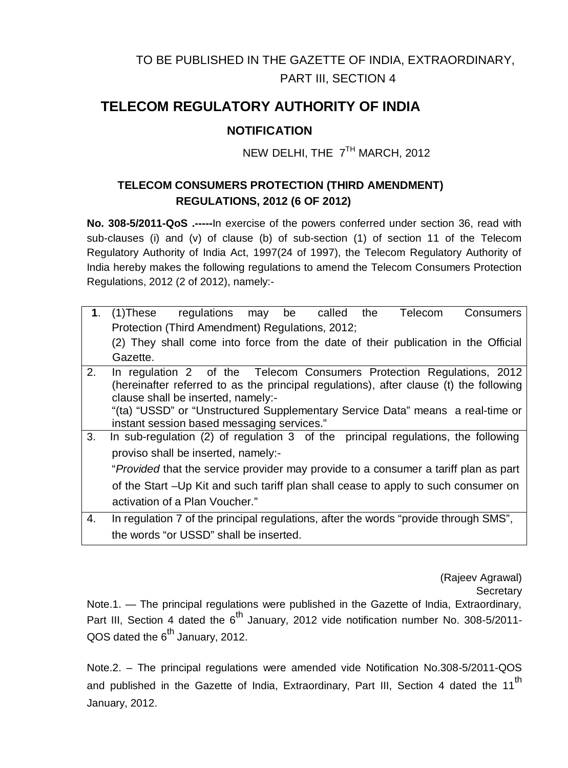# TO BE PUBLISHED IN THE GAZETTE OF INDIA, EXTRAORDINARY, PART III, SECTION 4

## **TELECOM REGULATORY AUTHORITY OF INDIA**

### **NOTIFICATION**

NEW DELHI, THE 7<sup>TH</sup> MARCH, 2012

### **TELECOM CONSUMERS PROTECTION (THIRD AMENDMENT) REGULATIONS, 2012 (6 OF 2012)**

**No. 308-5/2011-QoS .-----**In exercise of the powers conferred under section 36, read with sub-clauses (i) and (v) of clause (b) of sub-section (1) of section 11 of the Telecom Regulatory Authority of India Act, 1997(24 of 1997), the Telecom Regulatory Authority of India hereby makes the following regulations to amend the Telecom Consumers Protection Regulations, 2012 (2 of 2012), namely:-

| 1. | called<br>the<br>Telecom<br>regulations<br><b>Consumers</b><br>(1)These<br>be<br>may   |
|----|----------------------------------------------------------------------------------------|
|    | Protection (Third Amendment) Regulations, 2012;                                        |
|    | (2) They shall come into force from the date of their publication in the Official      |
|    | Gazette.                                                                               |
| 2. | In regulation 2 of the Telecom Consumers Protection Regulations, 2012                  |
|    | (hereinafter referred to as the principal regulations), after clause (t) the following |
|    | clause shall be inserted, namely:-                                                     |
|    | "(ta) "USSD" or "Unstructured Supplementary Service Data" means a real-time or         |
|    |                                                                                        |
|    | instant session based messaging services."                                             |
| 3. | In sub-regulation (2) of regulation 3 of the principal regulations, the following      |
|    | proviso shall be inserted, namely:-                                                    |
|    | "Provided that the service provider may provide to a consumer a tariff plan as part    |
|    | of the Start -Up Kit and such tariff plan shall cease to apply to such consumer on     |
|    | activation of a Plan Voucher."                                                         |
| 4. | In regulation 7 of the principal regulations, after the words "provide through SMS",   |
|    |                                                                                        |

the words "or USSD" shall be inserted.

(Rajeev Agrawal)

**Secretary** 

Note.1. — The principal regulations were published in the Gazette of India, Extraordinary, Part III, Section 4 dated the 6<sup>th</sup> January, 2012 vide notification number No. 308-5/2011- $QOS$  dated the  $6<sup>th</sup>$  January, 2012.

Note.2. – The principal regulations were amended vide Notification No.308-5/2011-QOS and published in the Gazette of India, Extraordinary, Part III, Section 4 dated the 11<sup>th</sup> January, 2012.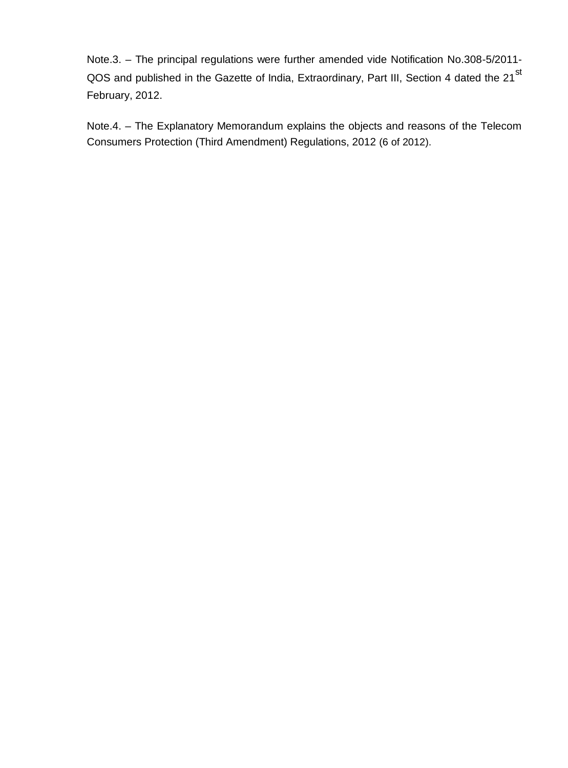Note.3. – The principal regulations were further amended vide Notification No.308-5/2011- QOS and published in the Gazette of India, Extraordinary, Part III, Section 4 dated the 21<sup>st</sup> February, 2012.

Note.4. – The Explanatory Memorandum explains the objects and reasons of the Telecom Consumers Protection (Third Amendment) Regulations, 2012 (6 of 2012).